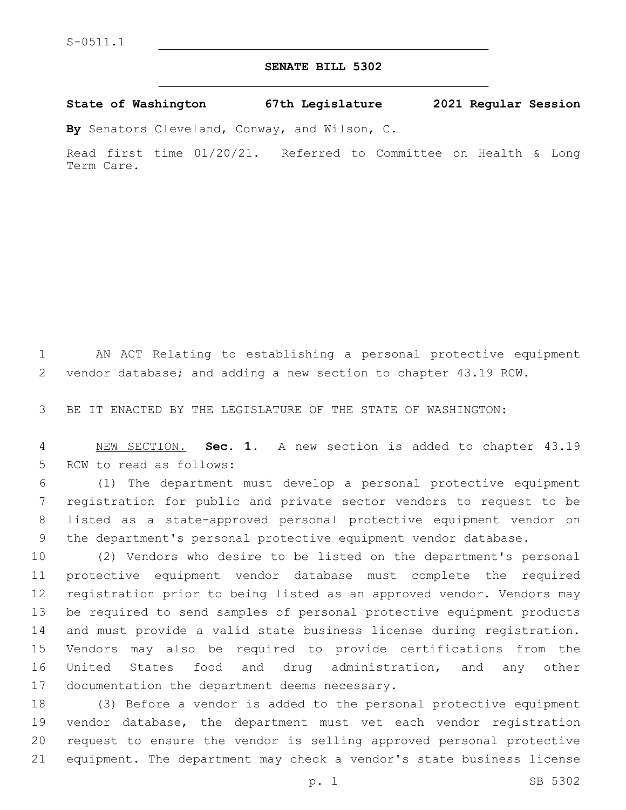## **SENATE BILL 5302**

**State of Washington 67th Legislature 2021 Regular Session**

**By** Senators Cleveland, Conway, and Wilson, C.

Read first time 01/20/21. Referred to Committee on Health & Long Term Care.

 AN ACT Relating to establishing a personal protective equipment vendor database; and adding a new section to chapter 43.19 RCW.

BE IT ENACTED BY THE LEGISLATURE OF THE STATE OF WASHINGTON:

 NEW SECTION. **Sec. 1.** A new section is added to chapter 43.19 5 RCW to read as follows:

 (1) The department must develop a personal protective equipment registration for public and private sector vendors to request to be listed as a state-approved personal protective equipment vendor on the department's personal protective equipment vendor database.

 (2) Vendors who desire to be listed on the department's personal protective equipment vendor database must complete the required registration prior to being listed as an approved vendor. Vendors may be required to send samples of personal protective equipment products and must provide a valid state business license during registration. Vendors may also be required to provide certifications from the United States food and drug administration, and any other 17 documentation the department deems necessary.

 (3) Before a vendor is added to the personal protective equipment vendor database, the department must vet each vendor registration request to ensure the vendor is selling approved personal protective equipment. The department may check a vendor's state business license